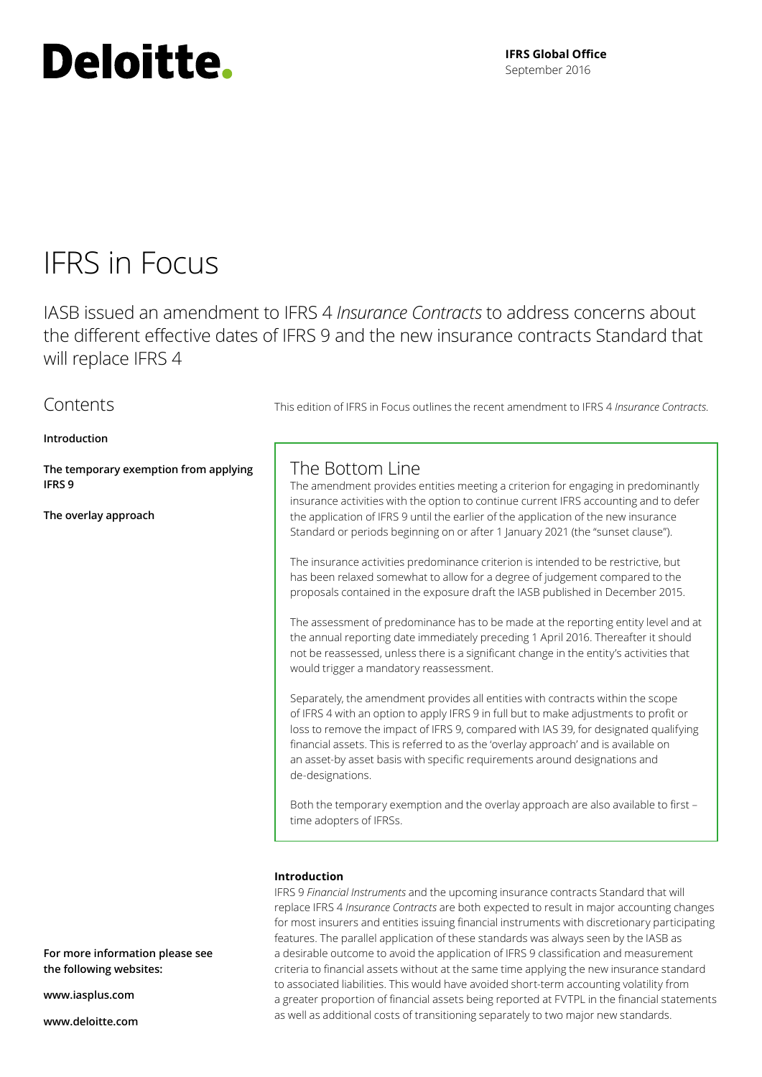# Deloitte.

### IFRS in Focus

**Contents** 

IASB issued an amendment to IFRS 4 *Insurance Contracts* to address concerns about the different effective dates of IFRS 9 and the new insurance contracts Standard that will replace IFRS 4

### The Bottom Line the application of IFRS 9 until the earlier of the application of the new insurance Standard or periods beginning on or after 1 January 2021 (the "sunset clause"). The insurance activities predominance criterion is intended to be restrictive, but has been relaxed somewhat to allow for a degree of judgement compared to the **[Introduction](#page-0-0) [The temporary exemption from applying](#page-1-0)  [IFRS 9](#page-1-0) [The overlay approach](#page-3-0)**

Separately, the amendment provides all entities with contracts within the scope of IFRS 4 with an option to apply IFRS 9 in full but to make adjustments to profit or loss to remove the impact of IFRS 9, compared with IAS 39, for designated qualifying financial assets. This is referred to as the 'overlay approach' and is available on an asset‑by asset basis with specific requirements around designations and

Both the temporary exemption and the overlay approach are also available to first – time adopters of IFRSs.

#### <span id="page-0-0"></span>**Introduction**

IFRS 9 *Financial Instruments* and the upcoming insurance contracts Standard that will replace IFRS 4 *Insurance Contracts* are both expected to result in major accounting changes for most insurers and entities issuing financial instruments with discretionary participating features. The parallel application of these standards was always seen by the IASB as a desirable outcome to avoid the application of IFRS 9 classification and measurement criteria to financial assets without at the same time applying the new insurance standard to associated liabilities. This would have avoided short-term accounting volatility from a greater proportion of financial assets being reported at FVTPL in the financial statements as well as additional costs of transitioning separately to two major new standards.

**For more information please see the following websites:**

**<www.iasplus.com>**

**<www.deloitte.com>**

This edition of IFRS in Focus outlines the recent amendment to IFRS 4 *Insurance Contracts*.

The amendment provides entities meeting a criterion for engaging in predominantly insurance activities with the option to continue current IFRS accounting and to defer

proposals contained in the exposure draft the IASB published in December 2015.

The assessment of predominance has to be made at the reporting entity level and at the annual reporting date immediately preceding 1 April 2016. Thereafter it should not be reassessed, unless there is a significant change in the entity's activities that would trigger a mandatory reassessment.

de‑designations.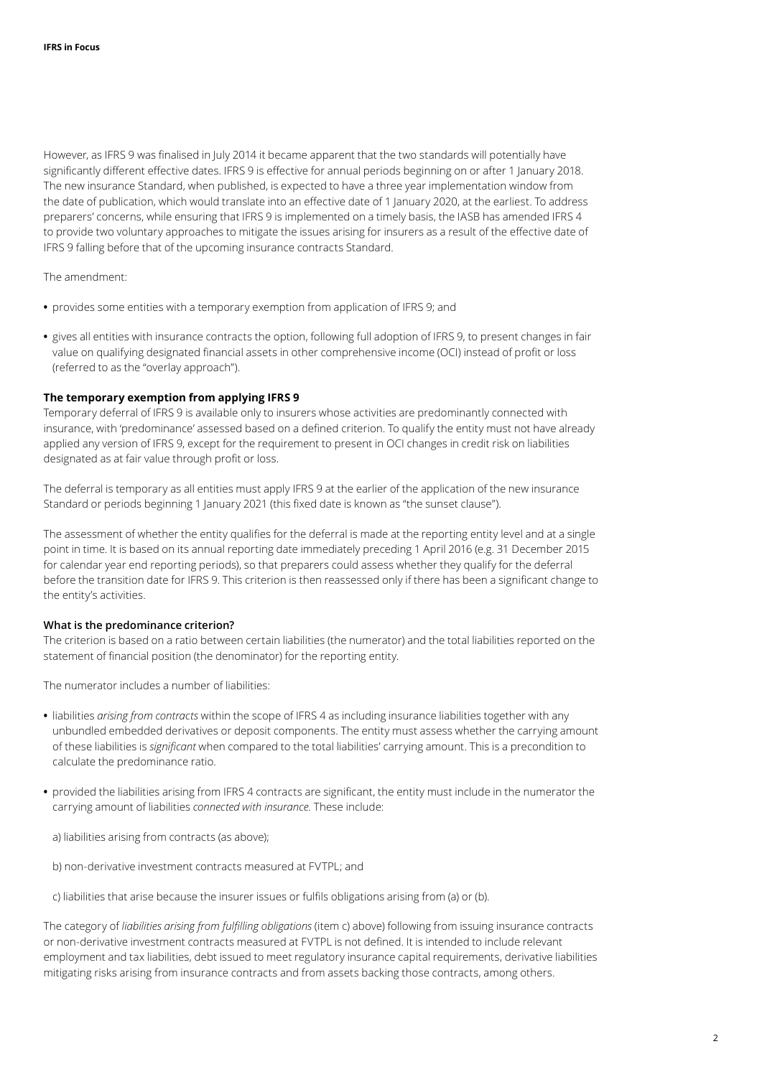However, as IFRS 9 was finalised in July 2014 it became apparent that the two standards will potentially have significantly different effective dates. IFRS 9 is effective for annual periods beginning on or after 1 January 2018. The new insurance Standard, when published, is expected to have a three year implementation window from the date of publication, which would translate into an effective date of 1 January 2020, at the earliest. To address preparers' concerns, while ensuring that IFRS 9 is implemented on a timely basis, the IASB has amended IFRS 4 to provide two voluntary approaches to mitigate the issues arising for insurers as a result of the effective date of IFRS 9 falling before that of the upcoming insurance contracts Standard.

The amendment:

- **•** provides some entities with a temporary exemption from application of IFRS 9; and
- **•** gives all entities with insurance contracts the option, following full adoption of IFRS 9, to present changes in fair value on qualifying designated financial assets in other comprehensive income (OCI) instead of profit or loss (referred to as the "overlay approach").

#### <span id="page-1-0"></span>**The temporary exemption from applying IFRS 9**

Temporary deferral of IFRS 9 is available only to insurers whose activities are predominantly connected with insurance, with 'predominance' assessed based on a defined criterion. To qualify the entity must not have already applied any version of IFRS 9, except for the requirement to present in OCI changes in credit risk on liabilities designated as at fair value through profit or loss.

The deferral is temporary as all entities must apply IFRS 9 at the earlier of the application of the new insurance Standard or periods beginning 1 January 2021 (this fixed date is known as "the sunset clause").

The assessment of whether the entity qualifies for the deferral is made at the reporting entity level and at a single point in time. It is based on its annual reporting date immediately preceding 1 April 2016 (e.g. 31 December 2015 for calendar year end reporting periods), so that preparers could assess whether they qualify for the deferral before the transition date for IFRS 9. This criterion is then reassessed only if there has been a significant change to the entity's activities.

#### **What is the predominance criterion?**

The criterion is based on a ratio between certain liabilities (the numerator) and the total liabilities reported on the statement of financial position (the denominator) for the reporting entity.

The numerator includes a number of liabilities:

- **•** liabilities *arising from contracts* within the scope of IFRS 4 as including insurance liabilities together with any unbundled embedded derivatives or deposit components. The entity must assess whether the carrying amount of these liabilities is *significant* when compared to the total liabilities' carrying amount. This is a precondition to calculate the predominance ratio.
- **•** provided the liabilities arising from IFRS 4 contracts are significant, the entity must include in the numerator the carrying amount of liabilities *connected with insurance.* These include:
	- a) liabilities arising from contracts (as above);
	- b) non‑derivative investment contracts measured at FVTPL; and
	- c) liabilities that arise because the insurer issues or fulfils obligations arising from (a) or (b).

The category of *liabilities arising from fulfilling obligations* (item c) above) following from issuing insurance contracts or non‑derivative investment contracts measured at FVTPL is not defined. It is intended to include relevant employment and tax liabilities, debt issued to meet regulatory insurance capital requirements, derivative liabilities mitigating risks arising from insurance contracts and from assets backing those contracts, among others.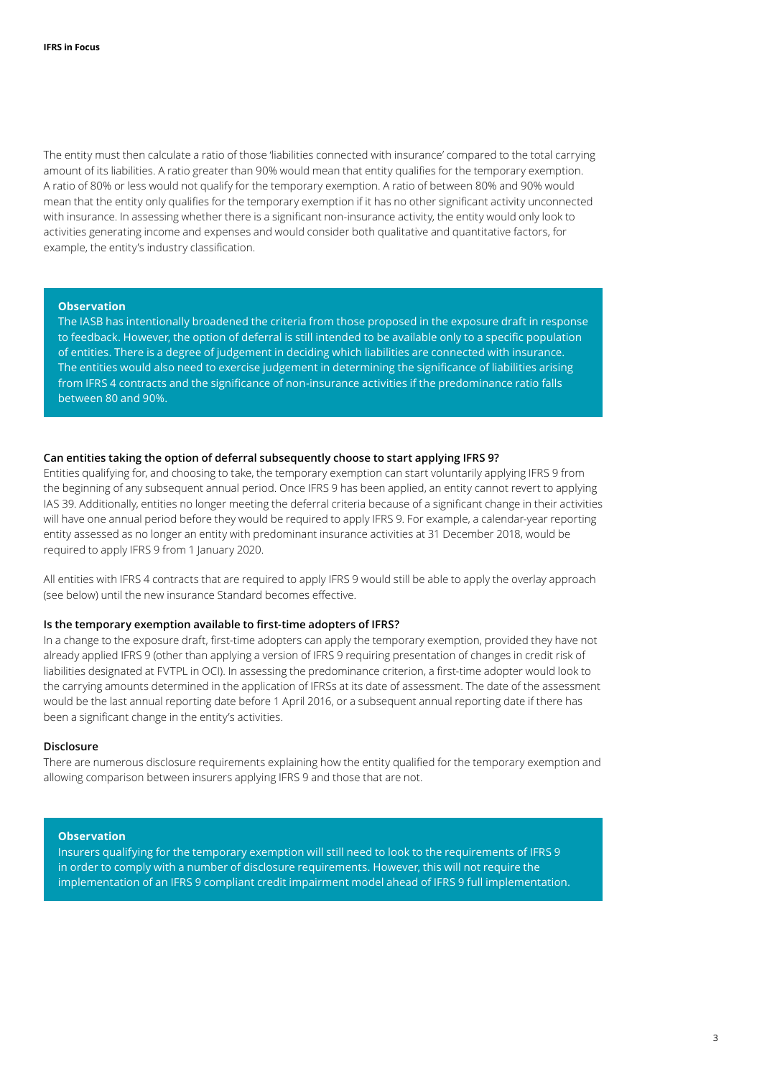The entity must then calculate a ratio of those 'liabilities connected with insurance' compared to the total carrying amount of its liabilities. A ratio greater than 90% would mean that entity qualifies for the temporary exemption. A ratio of 80% or less would not qualify for the temporary exemption. A ratio of between 80% and 90% would mean that the entity only qualifies for the temporary exemption if it has no other significant activity unconnected with insurance. In assessing whether there is a significant non-insurance activity, the entity would only look to activities generating income and expenses and would consider both qualitative and quantitative factors, for example, the entity's industry classification.

#### **Observation**

The IASB has intentionally broadened the criteria from those proposed in the exposure draft in response to feedback. However, the option of deferral is still intended to be available only to a specific population of entities. There is a degree of judgement in deciding which liabilities are connected with insurance. The entities would also need to exercise judgement in determining the significance of liabilities arising from IFRS 4 contracts and the significance of non-insurance activities if the predominance ratio falls between 80 and 90%.

#### **Can entities taking the option of deferral subsequently choose to start applying IFRS 9?**

Entities qualifying for, and choosing to take, the temporary exemption can start voluntarily applying IFRS 9 from the beginning of any subsequent annual period. Once IFRS 9 has been applied, an entity cannot revert to applying IAS 39. Additionally, entities no longer meeting the deferral criteria because of a significant change in their activities will have one annual period before they would be required to apply IFRS 9. For example, a calendar-year reporting entity assessed as no longer an entity with predominant insurance activities at 31 December 2018, would be required to apply IFRS 9 from 1 January 2020.

All entities with IFRS 4 contracts that are required to apply IFRS 9 would still be able to apply the overlay approach (see below) until the new insurance Standard becomes effective.

#### **Is the temporary exemption available to first‑time adopters of IFRS?**

In a change to the exposure draft, first-time adopters can apply the temporary exemption, provided they have not already applied IFRS 9 (other than applying a version of IFRS 9 requiring presentation of changes in credit risk of liabilities designated at FVTPL in OCI). In assessing the predominance criterion, a first-time adopter would look to the carrying amounts determined in the application of IFRSs at its date of assessment. The date of the assessment would be the last annual reporting date before 1 April 2016, or a subsequent annual reporting date if there has been a significant change in the entity's activities.

#### **Disclosure**

There are numerous disclosure requirements explaining how the entity qualified for the temporary exemption and allowing comparison between insurers applying IFRS 9 and those that are not.

#### **Observation**

Insurers qualifying for the temporary exemption will still need to look to the requirements of IFRS 9 in order to comply with a number of disclosure requirements. However, this will not require the implementation of an IFRS 9 compliant credit impairment model ahead of IFRS 9 full implementation.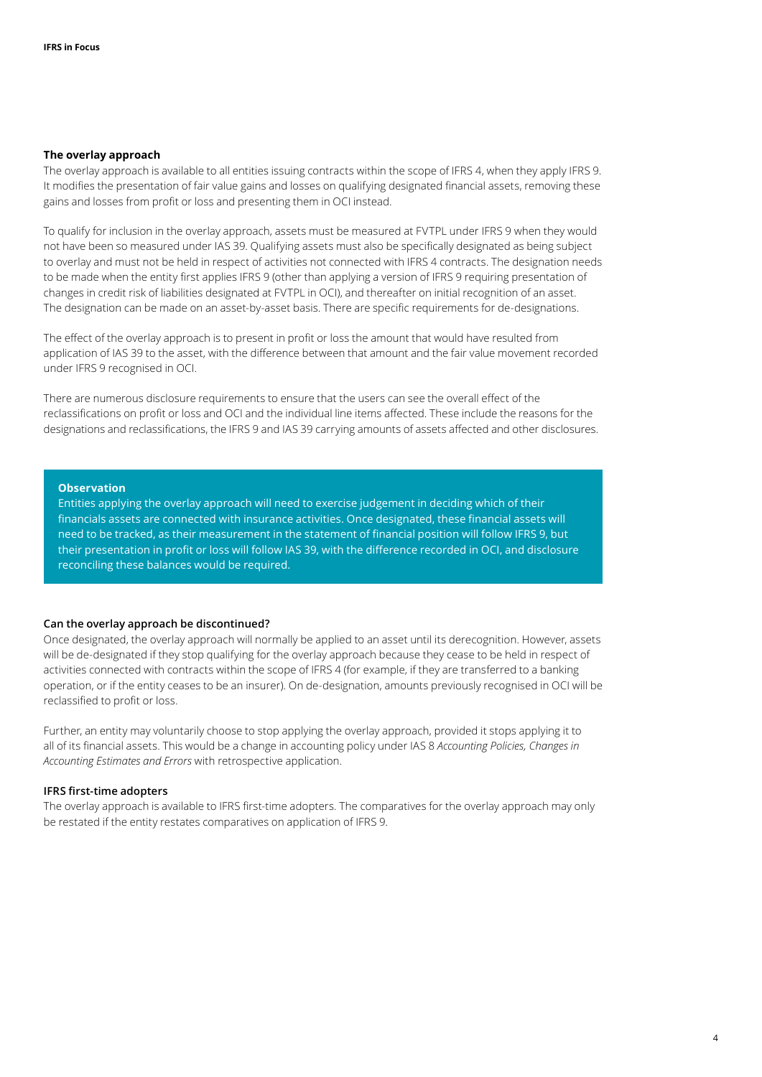#### <span id="page-3-0"></span>**The overlay approach**

The overlay approach is available to all entities issuing contracts within the scope of IFRS 4, when they apply IFRS 9. It modifies the presentation of fair value gains and losses on qualifying designated financial assets, removing these gains and losses from profit or loss and presenting them in OCI instead.

To qualify for inclusion in the overlay approach, assets must be measured at FVTPL under IFRS 9 when they would not have been so measured under IAS 39. Qualifying assets must also be specifically designated as being subject to overlay and must not be held in respect of activities not connected with IFRS 4 contracts. The designation needs to be made when the entity first applies IFRS 9 (other than applying a version of IFRS 9 requiring presentation of changes in credit risk of liabilities designated at FVTPL in OCI), and thereafter on initial recognition of an asset. The designation can be made on an asset-by-asset basis. There are specific requirements for de-designations.

The effect of the overlay approach is to present in profit or loss the amount that would have resulted from application of IAS 39 to the asset, with the difference between that amount and the fair value movement recorded under IFRS 9 recognised in OCI.

There are numerous disclosure requirements to ensure that the users can see the overall effect of the reclassifications on profit or loss and OCI and the individual line items affected. These include the reasons for the designations and reclassifications, the IFRS 9 and IAS 39 carrying amounts of assets affected and other disclosures.

#### **Observation**

Entities applying the overlay approach will need to exercise judgement in deciding which of their financials assets are connected with insurance activities. Once designated, these financial assets will need to be tracked, as their measurement in the statement of financial position will follow IFRS 9, but their presentation in profit or loss will follow IAS 39, with the difference recorded in OCI, and disclosure reconciling these balances would be required.

#### **Can the overlay approach be discontinued?**

Once designated, the overlay approach will normally be applied to an asset until its derecognition. However, assets will be de-designated if they stop qualifying for the overlay approach because they cease to be held in respect of activities connected with contracts within the scope of IFRS 4 (for example, if they are transferred to a banking operation, or if the entity ceases to be an insurer). On de‑designation, amounts previously recognised in OCI will be reclassified to profit or loss.

Further, an entity may voluntarily choose to stop applying the overlay approach, provided it stops applying it to all of its financial assets. This would be a change in accounting policy under IAS 8 *Accounting Policies, Changes in Accounting Estimates and Errors* with retrospective application.

#### **IFRS first‑time adopters**

The overlay approach is available to IFRS first-time adopters. The comparatives for the overlay approach may only be restated if the entity restates comparatives on application of IFRS 9.